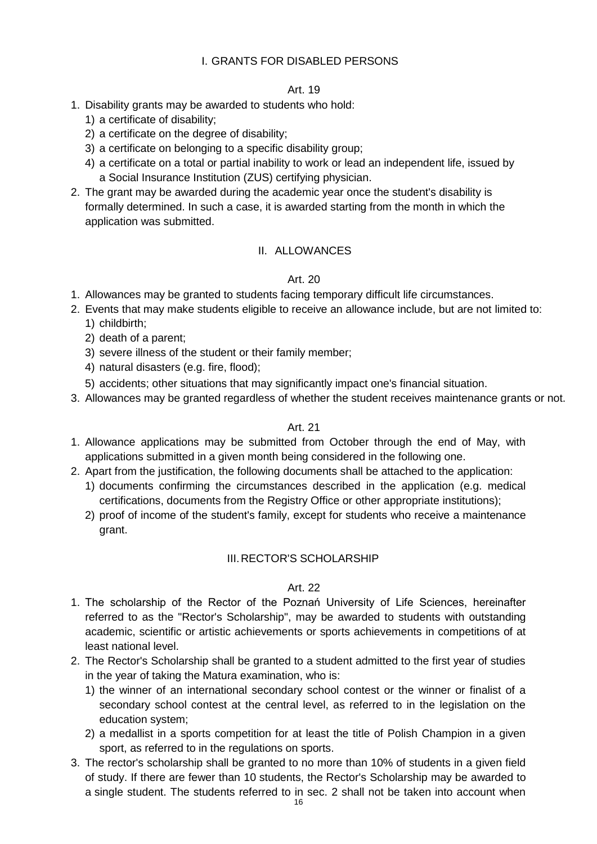### I. GRANTS FOR DISABLED PERSONS

### Art. 19

- 1. Disability grants may be awarded to students who hold:
	- 1) a certificate of disability;
	- 2) a certificate on the degree of disability;
	- 3) a certificate on belonging to a specific disability group;
	- 4) a certificate on a total or partial inability to work or lead an independent life, issued by a Social Insurance Institution (ZUS) certifying physician.
- 2. The grant may be awarded during the academic year once the student's disability is formally determined. In such a case, it is awarded starting from the month in which the application was submitted.

### II. ALLOWANCES

### Art. 20

- 1. Allowances may be granted to students facing temporary difficult life circumstances.
- 2. Events that may make students eligible to receive an allowance include, but are not limited to:
	- 1) childbirth;
	- 2) death of a parent;
	- 3) severe illness of the student or their family member;
	- 4) natural disasters (e.g. fire, flood);
	- 5) accidents; other situations that may significantly impact one's financial situation.
- 3. Allowances may be granted regardless of whether the student receives maintenance grants or not.

### Art. 21

- 1. Allowance applications may be submitted from October through the end of May, with applications submitted in a given month being considered in the following one.
- 2. Apart from the justification, the following documents shall be attached to the application:
	- 1) documents confirming the circumstances described in the application (e.g. medical certifications, documents from the Registry Office or other appropriate institutions);
	- 2) proof of income of the student's family, except for students who receive a maintenance grant.

### III. RECTOR'S SCHOLARSHIP

### Art. 22

- 1. The scholarship of the Rector of the Poznań University of Life Sciences, hereinafter referred to as the "Rector's Scholarship", may be awarded to students with outstanding academic, scientific or artistic achievements or sports achievements in competitions of at least national level.
- 2. The Rector's Scholarship shall be granted to a student admitted to the first year of studies in the year of taking the Matura examination, who is:
	- 1) the winner of an international secondary school contest or the winner or finalist of a secondary school contest at the central level, as referred to in the legislation on the education system;
	- 2) a medallist in a sports competition for at least the title of Polish Champion in a given sport, as referred to in the regulations on sports.
- 3. The rector's scholarship shall be granted to no more than 10% of students in a given field of study. If there are fewer than 10 students, the Rector's Scholarship may be awarded to a single student. The students referred to in sec. 2 shall not be taken into account when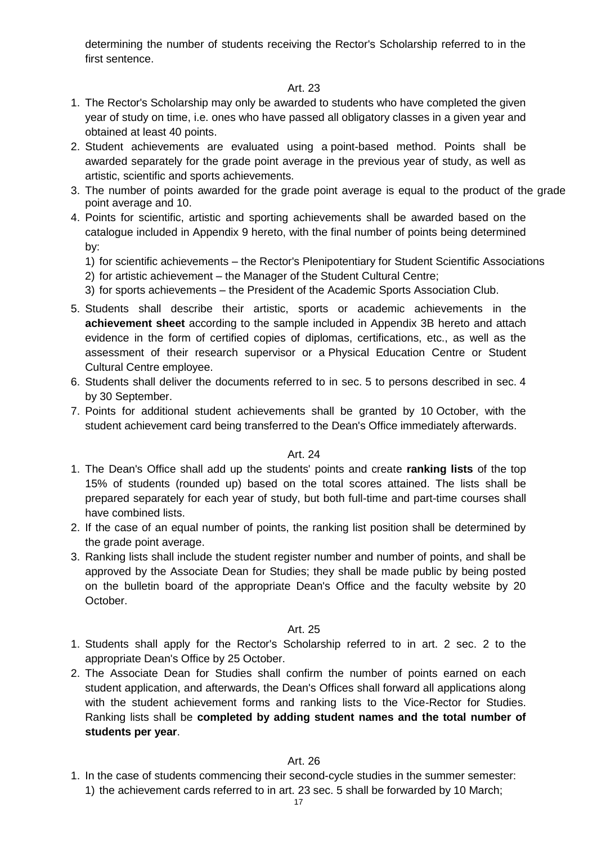determining the number of students receiving the Rector's Scholarship referred to in the first sentence.

## Art. 23

- 1. The Rector's Scholarship may only be awarded to students who have completed the given year of study on time, i.e. ones who have passed all obligatory classes in a given year and obtained at least 40 points.
- 2. Student achievements are evaluated using a point-based method. Points shall be awarded separately for the grade point average in the previous year of study, as well as artistic, scientific and sports achievements.
- 3. The number of points awarded for the grade point average is equal to the product of the grade point average and 10.
- 4. Points for scientific, artistic and sporting achievements shall be awarded based on the catalogue included in Appendix 9 hereto, with the final number of points being determined by:
	- 1) for scientific achievements the Rector's Plenipotentiary for Student Scientific Associations
	- 2) for artistic achievement the Manager of the Student Cultural Centre;
	- 3) for sports achievements the President of the Academic Sports Association Club.
- 5. Students shall describe their artistic, sports or academic achievements in the **achievement sheet** according to the sample included in Appendix 3B hereto and attach evidence in the form of certified copies of diplomas, certifications, etc., as well as the assessment of their research supervisor or a Physical Education Centre or Student Cultural Centre employee.
- 6. Students shall deliver the documents referred to in sec. 5 to persons described in sec. 4 by 30 September.
- 7. Points for additional student achievements shall be granted by 10 October, with the student achievement card being transferred to the Dean's Office immediately afterwards.

### Art. 24

- 1. The Dean's Office shall add up the students' points and create **ranking lists** of the top 15% of students (rounded up) based on the total scores attained. The lists shall be prepared separately for each year of study, but both full-time and part-time courses shall have combined lists.
- 2. If the case of an equal number of points, the ranking list position shall be determined by the grade point average.
- 3. Ranking lists shall include the student register number and number of points, and shall be approved by the Associate Dean for Studies; they shall be made public by being posted on the bulletin board of the appropriate Dean's Office and the faculty website by 20 October.

### Art. 25

- 1. Students shall apply for the Rector's Scholarship referred to in art. 2 sec. 2 to the appropriate Dean's Office by 25 October.
- 2. The Associate Dean for Studies shall confirm the number of points earned on each student application, and afterwards, the Dean's Offices shall forward all applications along with the student achievement forms and ranking lists to the Vice-Rector for Studies. Ranking lists shall be **completed by adding student names and the total number of students per year**.

### Art. 26

1. In the case of students commencing their second-cycle studies in the summer semester: 1) the achievement cards referred to in art. 23 sec. 5 shall be forwarded by 10 March;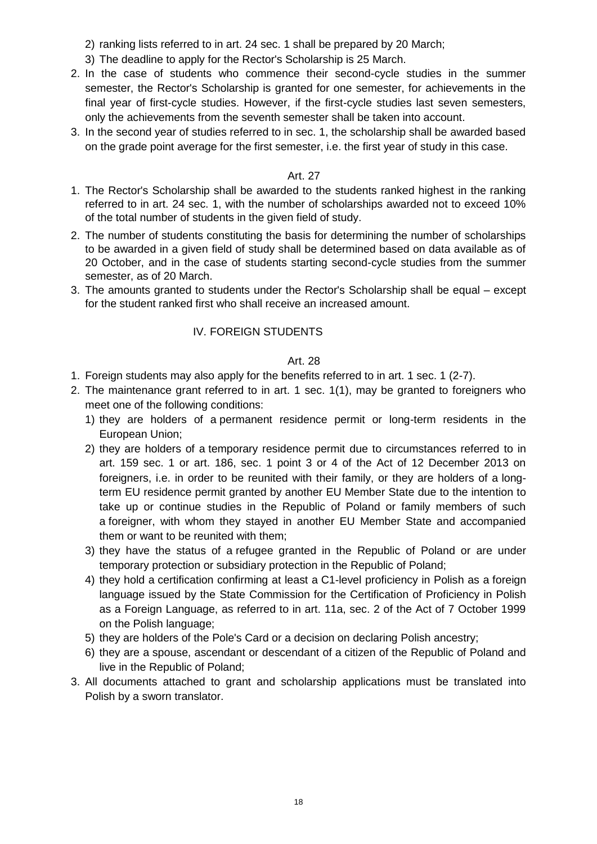- 2) ranking lists referred to in art. 24 sec. 1 shall be prepared by 20 March;
- 3) The deadline to apply for the Rector's Scholarship is 25 March.
- 2. In the case of students who commence their second-cycle studies in the summer semester, the Rector's Scholarship is granted for one semester, for achievements in the final year of first-cycle studies. However, if the first-cycle studies last seven semesters, only the achievements from the seventh semester shall be taken into account.
- 3. In the second year of studies referred to in sec. 1, the scholarship shall be awarded based on the grade point average for the first semester, i.e. the first year of study in this case.

### Art. 27

- 1. The Rector's Scholarship shall be awarded to the students ranked highest in the ranking referred to in art. 24 sec. 1, with the number of scholarships awarded not to exceed 10% of the total number of students in the given field of study.
- 2. The number of students constituting the basis for determining the number of scholarships to be awarded in a given field of study shall be determined based on data available as of 20 October, and in the case of students starting second-cycle studies from the summer semester, as of 20 March.
- 3. The amounts granted to students under the Rector's Scholarship shall be equal except for the student ranked first who shall receive an increased amount.

## IV. FOREIGN STUDENTS

### Art. 28

- 1. Foreign students may also apply for the benefits referred to in art. 1 sec. 1 (2-7).
- 2. The maintenance grant referred to in art. 1 sec. 1(1), may be granted to foreigners who meet one of the following conditions:
	- 1) they are holders of a permanent residence permit or long-term residents in the European Union;
	- 2) they are holders of a temporary residence permit due to circumstances referred to in art. 159 sec. 1 or art. 186, sec. 1 point 3 or 4 of the Act of 12 December 2013 on foreigners, i.e. in order to be reunited with their family, or they are holders of a longterm EU residence permit granted by another EU Member State due to the intention to take up or continue studies in the Republic of Poland or family members of such a foreigner, with whom they stayed in another EU Member State and accompanied them or want to be reunited with them;
	- 3) they have the status of a refugee granted in the Republic of Poland or are under temporary protection or subsidiary protection in the Republic of Poland;
	- 4) they hold a certification confirming at least a C1-level proficiency in Polish as a foreign language issued by the State Commission for the Certification of Proficiency in Polish as a Foreign Language, as referred to in art. 11a, sec. 2 of the Act of 7 October 1999 on the Polish language;
	- 5) they are holders of the Pole's Card or a decision on declaring Polish ancestry;
	- 6) they are a spouse, ascendant or descendant of a citizen of the Republic of Poland and live in the Republic of Poland;
- 3. All documents attached to grant and scholarship applications must be translated into Polish by a sworn translator.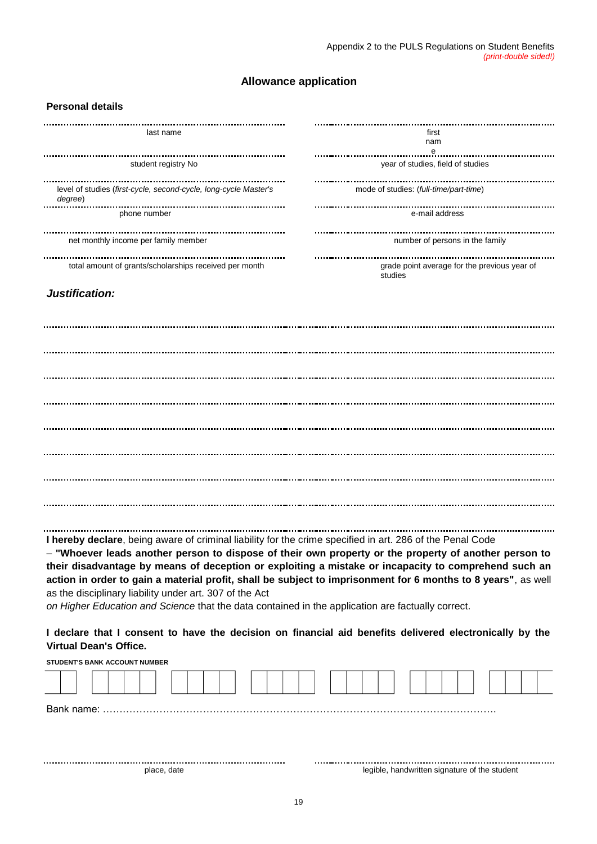### **Allowance application**

#### **Personal details**

| last name                                                                   | first                                                   |
|-----------------------------------------------------------------------------|---------------------------------------------------------|
|                                                                             | nam<br>е                                                |
| student registry No                                                         | year of studies, field of studies                       |
| level of studies (first-cycle, second-cycle, long-cycle Master's<br>degree) | mode of studies: (full-time/part-time)                  |
| phone number                                                                | e-mail address                                          |
| net monthly income per family member                                        | number of persons in the family                         |
| total amount of grants/scholarships received per month                      | grade point average for the previous year of<br>studies |
|                                                                             |                                                         |

#### *Justification:*

**I hereby declare**, being aware of criminal liability for the crime specified in art. 286 of the Penal Code

– **"Whoever leads another person to dispose of their own property or the property of another person to their disadvantage by means of deception or exploiting a mistake or incapacity to comprehend such an action in order to gain a material profit, shall be subject to imprisonment for 6 months to 8 years"**, as well as the disciplinary liability under art. 307 of the Act

*on Higher Education and Science* that the data contained in the application are factually correct.

**I declare that I consent to have the decision on financial aid benefits delivered electronically by the Virtual Dean's Office.**

**STUDENT'S BANK ACCOUNT NUMBER**

|  |  | place, date |  |  |  |  |  |  | legible, handwritten signature of the student |  |  |  |  |  |
|--|--|-------------|--|--|--|--|--|--|-----------------------------------------------|--|--|--|--|--|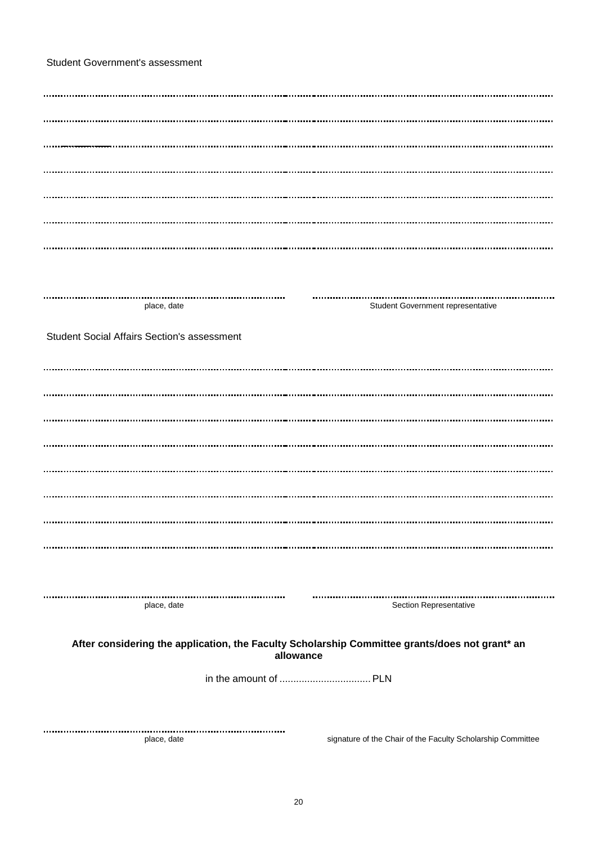| <b>Student Government's assessment</b> |  |
|----------------------------------------|--|
|----------------------------------------|--|

| place, date                                        |           | Student Government representative                                                              |  |
|----------------------------------------------------|-----------|------------------------------------------------------------------------------------------------|--|
| <b>Student Social Affairs Section's assessment</b> |           |                                                                                                |  |
|                                                    |           |                                                                                                |  |
|                                                    |           |                                                                                                |  |
|                                                    |           |                                                                                                |  |
|                                                    |           |                                                                                                |  |
|                                                    |           |                                                                                                |  |
|                                                    |           |                                                                                                |  |
|                                                    |           |                                                                                                |  |
|                                                    |           |                                                                                                |  |
|                                                    |           |                                                                                                |  |
|                                                    |           |                                                                                                |  |
| place, date                                        |           | Section Representative                                                                         |  |
|                                                    |           |                                                                                                |  |
|                                                    | allowance | After considering the application, the Faculty Scholarship Committee grants/does not grant* an |  |
|                                                    |           |                                                                                                |  |
|                                                    |           |                                                                                                |  |
|                                                    |           |                                                                                                |  |
| place, date                                        |           | signature of the Chair of the Faculty Scholarship Committee                                    |  |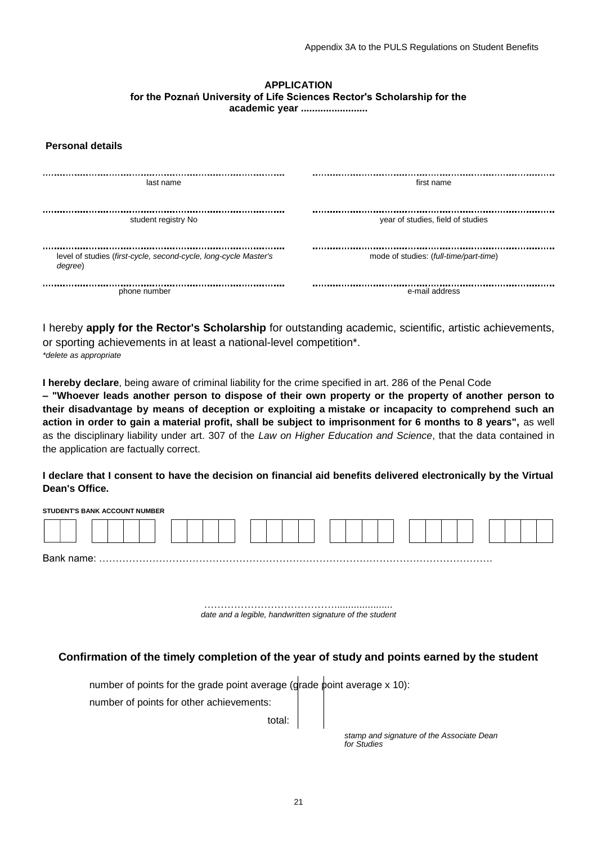# **APPLICATION for the Poznań University of Life Sciences Rector's Scholarship for the**

**academic year ........................**

#### **Personal details**

| last name                                                                   | first name                             |
|-----------------------------------------------------------------------------|----------------------------------------|
| student registry No                                                         | year of studies, field of studies      |
| level of studies (first-cycle, second-cycle, long-cycle Master's<br>degree) | mode of studies: (full-time/part-time) |
| phone number                                                                | e-mail address                         |

I hereby **apply for the Rector's Scholarship** for outstanding academic, scientific, artistic achievements, or sporting achievements in at least a national-level competition\*. *\*delete as appropriate*

**I hereby declare**, being aware of criminal liability for the crime specified in art. 286 of the Penal Code

**– "Whoever leads another person to dispose of their own property or the property of another person to their disadvantage by means of deception or exploiting a mistake or incapacity to comprehend such an action in order to gain a material profit, shall be subject to imprisonment for 6 months to 8 years",** as well as the disciplinary liability under art. 307 of the *Law on Higher Education and Science*, that the data contained in the application are factually correct.

#### **I declare that I consent to have the decision on financial aid benefits delivered electronically by the Virtual Dean's Office.**

| <b>STUDENT'S BANK ACCOUNT NUMBER</b> |  |  |
|--------------------------------------|--|--|
|                                      |  |  |
|                                      |  |  |

…………………………………..................... *date and a legible, handwritten signature of the student*

#### **Confirmation of the timely completion of the year of study and points earned by the student**

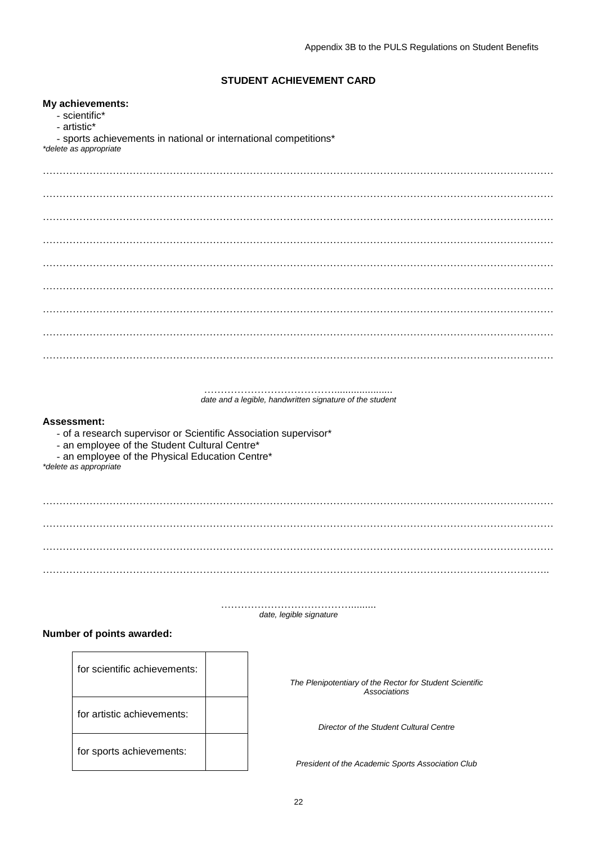### **STUDENT ACHIEVEMENT CARD**

#### **My achievements:**

- scientific\*
- artistic\*
- sports achievements in national or international competitions\*

*\*delete as appropriate*

…………………………………..................... *date and a legible, handwritten signature of the student*

#### **Assessment:**

- of a research supervisor or Scientific Association supervisor\*
- an employee of the Student Cultural Centre\*
- an employee of the Physical Education Centre\*

*\*delete as appropriate*

…………………………………......... *date, legible signature*

#### **Number of points awarded:**

| for scientific achievements: | The Plenip |
|------------------------------|------------|
| for artistic achievements:   | Dir        |
| for sports achievements:     | President  |

*The Plenipotentiary of the Rector for Student Scientific Associations*

*Director of the Student Cultural Centre*

*President of the Academic Sports Association Club*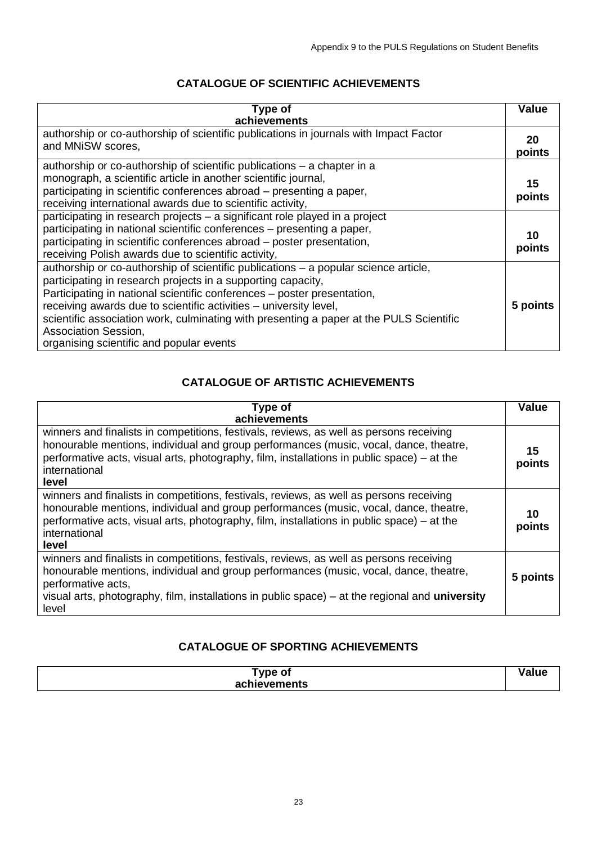## **CATALOGUE OF SCIENTIFIC ACHIEVEMENTS**

| Type of<br>achievements                                                                                                                                                                                                                                                                                                                                                                                                                                            | <b>Value</b> |
|--------------------------------------------------------------------------------------------------------------------------------------------------------------------------------------------------------------------------------------------------------------------------------------------------------------------------------------------------------------------------------------------------------------------------------------------------------------------|--------------|
| authorship or co-authorship of scientific publications in journals with Impact Factor<br>and MNiSW scores,                                                                                                                                                                                                                                                                                                                                                         | 20<br>points |
| authorship or co-authorship of scientific publications – a chapter in a<br>monograph, a scientific article in another scientific journal,<br>participating in scientific conferences abroad – presenting a paper,<br>receiving international awards due to scientific activity,                                                                                                                                                                                    | 15<br>points |
| participating in research projects – a significant role played in a project<br>participating in national scientific conferences - presenting a paper,<br>participating in scientific conferences abroad - poster presentation,<br>receiving Polish awards due to scientific activity,                                                                                                                                                                              | 10<br>points |
| authorship or co-authorship of scientific publications – a popular science article,<br>participating in research projects in a supporting capacity,<br>Participating in national scientific conferences - poster presentation,<br>receiving awards due to scientific activities – university level,<br>scientific association work, culminating with presenting a paper at the PULS Scientific<br>Association Session,<br>organising scientific and popular events | 5 points     |

# **CATALOGUE OF ARTISTIC ACHIEVEMENTS**

| Type of<br>achievements                                                                                                                                                                                                                                                                                            | <b>Value</b> |
|--------------------------------------------------------------------------------------------------------------------------------------------------------------------------------------------------------------------------------------------------------------------------------------------------------------------|--------------|
| winners and finalists in competitions, festivals, reviews, as well as persons receiving<br>honourable mentions, individual and group performances (music, vocal, dance, theatre,<br>performative acts, visual arts, photography, film, installations in public space) – at the<br>international<br>level           | 15<br>points |
| winners and finalists in competitions, festivals, reviews, as well as persons receiving<br>honourable mentions, individual and group performances (music, vocal, dance, theatre,<br>performative acts, visual arts, photography, film, installations in public space) – at the<br>international<br>level           | 10<br>points |
| winners and finalists in competitions, festivals, reviews, as well as persons receiving<br>honourable mentions, individual and group performances (music, vocal, dance, theatre,<br>performative acts,<br>visual arts, photography, film, installations in public space) - at the regional and university<br>level | 5 points     |

# **CATALOGUE OF SPORTING ACHIEVEMENTS**

| ⊺ype ot      |  |
|--------------|--|
|              |  |
| achievements |  |
|              |  |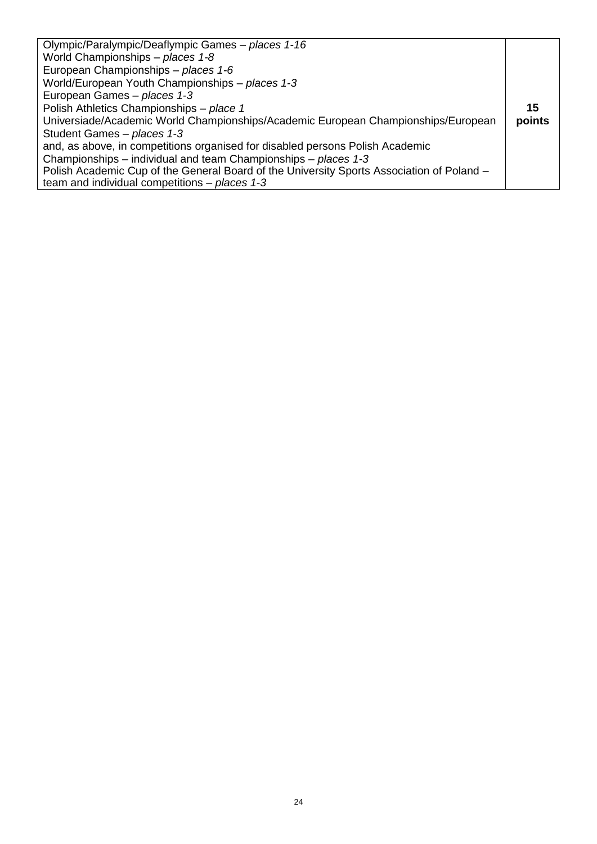| Olympic/Paralympic/Deaflympic Games - places 1-16                                         |        |
|-------------------------------------------------------------------------------------------|--------|
| World Championships - places 1-8                                                          |        |
| European Championships - places 1-6                                                       |        |
| World/European Youth Championships - places 1-3                                           |        |
| European Games - places 1-3                                                               |        |
| Polish Athletics Championships - place 1                                                  | 15     |
| Universiade/Academic World Championships/Academic European Championships/European         | points |
| Student Games - places 1-3                                                                |        |
| and, as above, in competitions organised for disabled persons Polish Academic             |        |
| Championships – individual and team Championships – places 1-3                            |        |
| Polish Academic Cup of the General Board of the University Sports Association of Poland - |        |
| team and individual competitions $-$ places 1-3                                           |        |